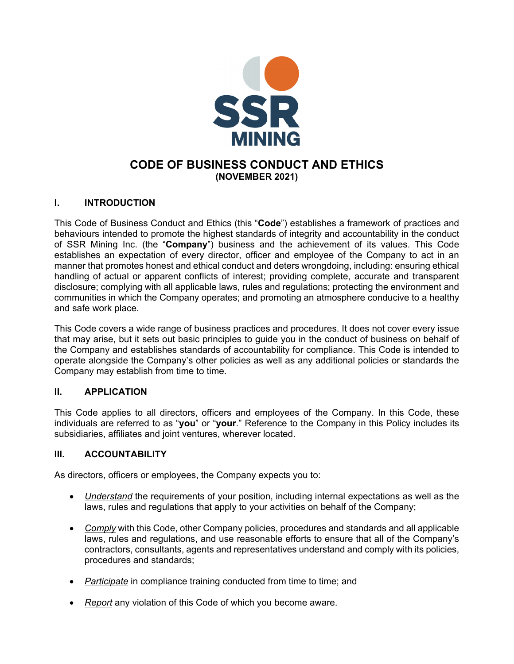

# **CODE OF BUSINESS CONDUCT AND ETHICS (NOVEMBER 2021)**

## **I. INTRODUCTION**

This Code of Business Conduct and Ethics (this "**Code**") establishes a framework of practices and behaviours intended to promote the highest standards of integrity and accountability in the conduct of SSR Mining Inc. (the "**Company**") business and the achievement of its values. This Code establishes an expectation of every director, officer and employee of the Company to act in an manner that promotes honest and ethical conduct and deters wrongdoing, including: ensuring ethical handling of actual or apparent conflicts of interest; providing complete, accurate and transparent disclosure; complying with all applicable laws, rules and regulations; protecting the environment and communities in which the Company operates; and promoting an atmosphere conducive to a healthy and safe work place.

This Code covers a wide range of business practices and procedures. It does not cover every issue that may arise, but it sets out basic principles to guide you in the conduct of business on behalf of the Company and establishes standards of accountability for compliance. This Code is intended to operate alongside the Company's other policies as well as any additional policies or standards the Company may establish from time to time.

### **II. APPLICATION**

This Code applies to all directors, officers and employees of the Company. In this Code, these individuals are referred to as "**you**" or "**your**." Reference to the Company in this Policy includes its subsidiaries, affiliates and joint ventures, wherever located.

### **III. ACCOUNTABILITY**

As directors, officers or employees, the Company expects you to:

- *Understand* the requirements of your position, including internal expectations as well as the laws, rules and regulations that apply to your activities on behalf of the Company;
- *Comply* with this Code, other Company policies, procedures and standards and all applicable laws, rules and regulations, and use reasonable efforts to ensure that all of the Company's contractors, consultants, agents and representatives understand and comply with its policies, procedures and standards;
- *Participate* in compliance training conducted from time to time; and
- *Report* any violation of this Code of which you become aware.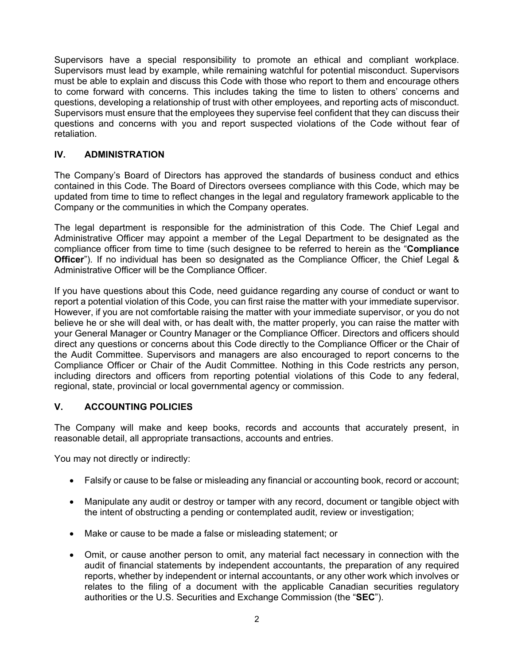Supervisors have a special responsibility to promote an ethical and compliant workplace. Supervisors must lead by example, while remaining watchful for potential misconduct. Supervisors must be able to explain and discuss this Code with those who report to them and encourage others to come forward with concerns. This includes taking the time to listen to others' concerns and questions, developing a relationship of trust with other employees, and reporting acts of misconduct. Supervisors must ensure that the employees they supervise feel confident that they can discuss their questions and concerns with you and report suspected violations of the Code without fear of retaliation.

## **IV. ADMINISTRATION**

The Company's Board of Directors has approved the standards of business conduct and ethics contained in this Code. The Board of Directors oversees compliance with this Code, which may be updated from time to time to reflect changes in the legal and regulatory framework applicable to the Company or the communities in which the Company operates.

The legal department is responsible for the administration of this Code. The Chief Legal and Administrative Officer may appoint a member of the Legal Department to be designated as the compliance officer from time to time (such designee to be referred to herein as the "**Compliance Officer**"). If no individual has been so designated as the Compliance Officer, the Chief Legal & Administrative Officer will be the Compliance Officer.

If you have questions about this Code, need guidance regarding any course of conduct or want to report a potential violation of this Code, you can first raise the matter with your immediate supervisor. However, if you are not comfortable raising the matter with your immediate supervisor, or you do not believe he or she will deal with, or has dealt with, the matter properly, you can raise the matter with your General Manager or Country Manager or the Compliance Officer. Directors and officers should direct any questions or concerns about this Code directly to the Compliance Officer or the Chair of the Audit Committee. Supervisors and managers are also encouraged to report concerns to the Compliance Officer or Chair of the Audit Committee. Nothing in this Code restricts any person, including directors and officers from reporting potential violations of this Code to any federal, regional, state, provincial or local governmental agency or commission.

### **V. ACCOUNTING POLICIES**

The Company will make and keep books, records and accounts that accurately present, in reasonable detail, all appropriate transactions, accounts and entries.

You may not directly or indirectly:

- Falsify or cause to be false or misleading any financial or accounting book, record or account;
- Manipulate any audit or destroy or tamper with any record, document or tangible object with the intent of obstructing a pending or contemplated audit, review or investigation;
- Make or cause to be made a false or misleading statement; or
- Omit, or cause another person to omit, any material fact necessary in connection with the audit of financial statements by independent accountants, the preparation of any required reports, whether by independent or internal accountants, or any other work which involves or relates to the filing of a document with the applicable Canadian securities regulatory authorities or the U.S. Securities and Exchange Commission (the "**SEC**").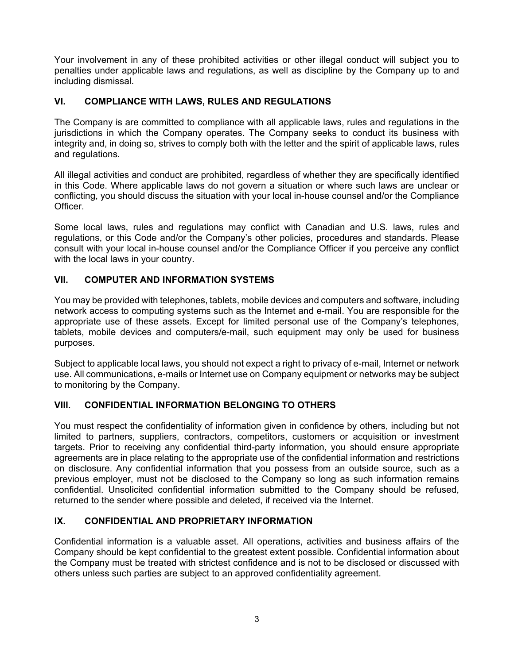Your involvement in any of these prohibited activities or other illegal conduct will subject you to penalties under applicable laws and regulations, as well as discipline by the Company up to and including dismissal.

## **VI. COMPLIANCE WITH LAWS, RULES AND REGULATIONS**

The Company is are committed to compliance with all applicable laws, rules and regulations in the jurisdictions in which the Company operates. The Company seeks to conduct its business with integrity and, in doing so, strives to comply both with the letter and the spirit of applicable laws, rules and regulations.

All illegal activities and conduct are prohibited, regardless of whether they are specifically identified in this Code. Where applicable laws do not govern a situation or where such laws are unclear or conflicting, you should discuss the situation with your local in-house counsel and/or the Compliance Officer.

Some local laws, rules and regulations may conflict with Canadian and U.S. laws, rules and regulations, or this Code and/or the Company's other policies, procedures and standards. Please consult with your local in-house counsel and/or the Compliance Officer if you perceive any conflict with the local laws in your country.

## **VII. COMPUTER AND INFORMATION SYSTEMS**

You may be provided with telephones, tablets, mobile devices and computers and software, including network access to computing systems such as the Internet and e-mail. You are responsible for the appropriate use of these assets. Except for limited personal use of the Company's telephones, tablets, mobile devices and computers/e-mail, such equipment may only be used for business purposes.

Subject to applicable local laws, you should not expect a right to privacy of e-mail, Internet or network use. All communications, e-mails or Internet use on Company equipment or networks may be subject to monitoring by the Company.

### **VIII. CONFIDENTIAL INFORMATION BELONGING TO OTHERS**

You must respect the confidentiality of information given in confidence by others, including but not limited to partners, suppliers, contractors, competitors, customers or acquisition or investment targets. Prior to receiving any confidential third-party information, you should ensure appropriate agreements are in place relating to the appropriate use of the confidential information and restrictions on disclosure. Any confidential information that you possess from an outside source, such as a previous employer, must not be disclosed to the Company so long as such information remains confidential. Unsolicited confidential information submitted to the Company should be refused, returned to the sender where possible and deleted, if received via the Internet.

## **IX. CONFIDENTIAL AND PROPRIETARY INFORMATION**

Confidential information is a valuable asset. All operations, activities and business affairs of the Company should be kept confidential to the greatest extent possible. Confidential information about the Company must be treated with strictest confidence and is not to be disclosed or discussed with others unless such parties are subject to an approved confidentiality agreement.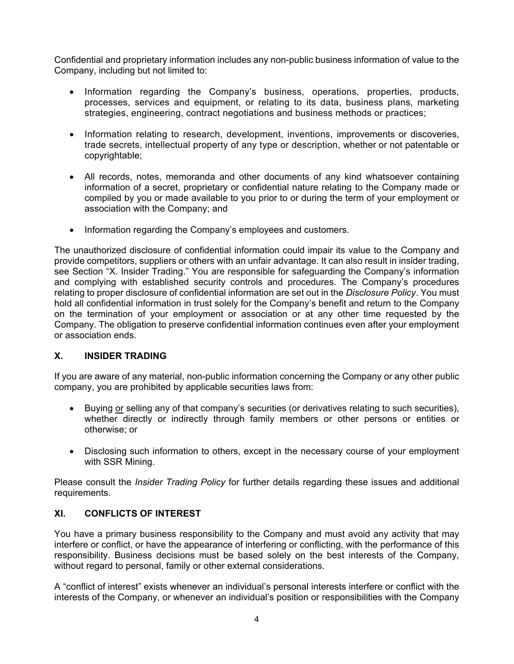Confidential and proprietary information includes any non-public business information of value to the Company, including but not limited to:

- Information regarding the Company's business, operations, properties, products, processes, services and equipment, or relating to its data, business plans, marketing strategies, engineering, contract negotiations and business methods or practices;
- Information relating to research, development, inventions, improvements or discoveries, trade secrets, intellectual property of any type or description, whether or not patentable or copyrightable;
- All records, notes, memoranda and other documents of any kind whatsoever containing information of a secret, proprietary or confidential nature relating to the Company made or compiled by you or made available to you prior to or during the term of your employment or association with the Company; and
- Information regarding the Company's employees and customers.

The unauthorized disclosure of confidential information could impair its value to the Company and provide competitors, suppliers or others with an unfair advantage. It can also result in insider trading, see Section "X. Insider Trading." You are responsible for safeguarding the Company's information and complying with established security controls and procedures. The Company's procedures relating to proper disclosure of confidential information are set out in the *Disclosure Policy*. You must hold all confidential information in trust solely for the Company's benefit and return to the Company on the termination of your employment or association or at any other time requested by the Company. The obligation to preserve confidential information continues even after your employment or association ends.

## **X. INSIDER TRADING**

If you are aware of any material, non-public information concerning the Company or any other public company, you are prohibited by applicable securities laws from:

- Buying or selling any of that company's securities (or derivatives relating to such securities), whether directly or indirectly through family members or other persons or entities or otherwise; or
- Disclosing such information to others, except in the necessary course of your employment with SSR Mining.

Please consult the *Insider Trading Policy* for further details regarding these issues and additional requirements.

## **XI. CONFLICTS OF INTEREST**

You have a primary business responsibility to the Company and must avoid any activity that may interfere or conflict, or have the appearance of interfering or conflicting, with the performance of this responsibility. Business decisions must be based solely on the best interests of the Company, without regard to personal, family or other external considerations.

A "conflict of interest" exists whenever an individual's personal interests interfere or conflict with the interests of the Company, or whenever an individual's position or responsibilities with the Company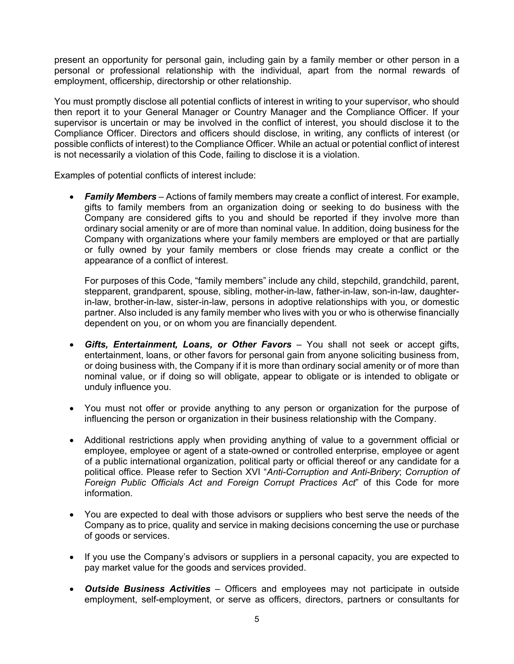present an opportunity for personal gain, including gain by a family member or other person in a personal or professional relationship with the individual, apart from the normal rewards of employment, officership, directorship or other relationship.

You must promptly disclose all potential conflicts of interest in writing to your supervisor, who should then report it to your General Manager or Country Manager and the Compliance Officer. If your supervisor is uncertain or may be involved in the conflict of interest, you should disclose it to the Compliance Officer. Directors and officers should disclose, in writing, any conflicts of interest (or possible conflicts of interest) to the Compliance Officer. While an actual or potential conflict of interest is not necessarily a violation of this Code, failing to disclose it is a violation.

Examples of potential conflicts of interest include:

 *Family Members* – Actions of family members may create a conflict of interest. For example, gifts to family members from an organization doing or seeking to do business with the Company are considered gifts to you and should be reported if they involve more than ordinary social amenity or are of more than nominal value. In addition, doing business for the Company with organizations where your family members are employed or that are partially or fully owned by your family members or close friends may create a conflict or the appearance of a conflict of interest.

For purposes of this Code, "family members" include any child, stepchild, grandchild, parent, stepparent, grandparent, spouse, sibling, mother-in-law, father-in-law, son-in-law, daughterin-law, brother-in-law, sister-in-law, persons in adoptive relationships with you, or domestic partner. Also included is any family member who lives with you or who is otherwise financially dependent on you, or on whom you are financially dependent.

- *Gifts, Entertainment, Loans, or Other Favors* You shall not seek or accept gifts, entertainment, loans, or other favors for personal gain from anyone soliciting business from, or doing business with, the Company if it is more than ordinary social amenity or of more than nominal value, or if doing so will obligate, appear to obligate or is intended to obligate or unduly influence you.
- You must not offer or provide anything to any person or organization for the purpose of influencing the person or organization in their business relationship with the Company.
- Additional restrictions apply when providing anything of value to a government official or employee, employee or agent of a state-owned or controlled enterprise, employee or agent of a public international organization, political party or official thereof or any candidate for a political office. Please refer to Section XVI "*Anti-Corruption and Anti-Bribery*; *Corruption of Foreign Public Officials Act and Foreign Corrupt Practices Act*" of this Code for more information.
- You are expected to deal with those advisors or suppliers who best serve the needs of the Company as to price, quality and service in making decisions concerning the use or purchase of goods or services.
- If you use the Company's advisors or suppliers in a personal capacity, you are expected to pay market value for the goods and services provided.
- *Outside Business Activities*  Officers and employees may not participate in outside employment, self-employment, or serve as officers, directors, partners or consultants for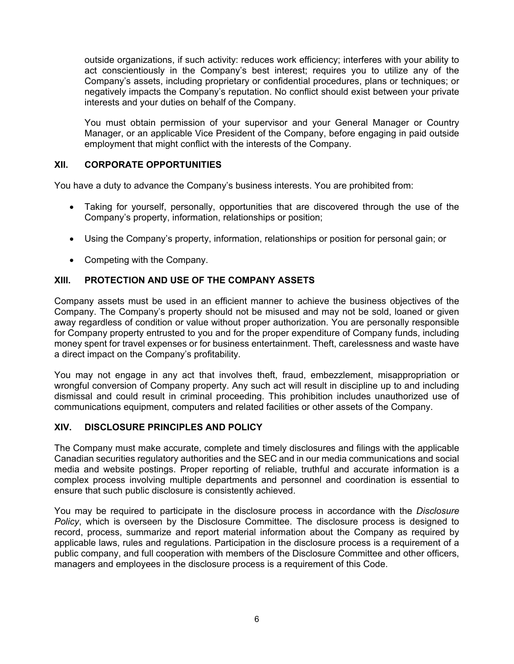outside organizations, if such activity: reduces work efficiency; interferes with your ability to act conscientiously in the Company's best interest; requires you to utilize any of the Company's assets, including proprietary or confidential procedures, plans or techniques; or negatively impacts the Company's reputation. No conflict should exist between your private interests and your duties on behalf of the Company.

You must obtain permission of your supervisor and your General Manager or Country Manager, or an applicable Vice President of the Company, before engaging in paid outside employment that might conflict with the interests of the Company.

### **XII. CORPORATE OPPORTUNITIES**

You have a duty to advance the Company's business interests. You are prohibited from:

- Taking for yourself, personally, opportunities that are discovered through the use of the Company's property, information, relationships or position;
- Using the Company's property, information, relationships or position for personal gain; or
- Competing with the Company.

#### **XIII. PROTECTION AND USE OF THE COMPANY ASSETS**

Company assets must be used in an efficient manner to achieve the business objectives of the Company. The Company's property should not be misused and may not be sold, loaned or given away regardless of condition or value without proper authorization. You are personally responsible for Company property entrusted to you and for the proper expenditure of Company funds, including money spent for travel expenses or for business entertainment. Theft, carelessness and waste have a direct impact on the Company's profitability.

You may not engage in any act that involves theft, fraud, embezzlement, misappropriation or wrongful conversion of Company property. Any such act will result in discipline up to and including dismissal and could result in criminal proceeding. This prohibition includes unauthorized use of communications equipment, computers and related facilities or other assets of the Company.

#### **XIV. DISCLOSURE PRINCIPLES AND POLICY**

The Company must make accurate, complete and timely disclosures and filings with the applicable Canadian securities regulatory authorities and the SEC and in our media communications and social media and website postings. Proper reporting of reliable, truthful and accurate information is a complex process involving multiple departments and personnel and coordination is essential to ensure that such public disclosure is consistently achieved.

You may be required to participate in the disclosure process in accordance with the *Disclosure Policy*, which is overseen by the Disclosure Committee. The disclosure process is designed to record, process, summarize and report material information about the Company as required by applicable laws, rules and regulations. Participation in the disclosure process is a requirement of a public company, and full cooperation with members of the Disclosure Committee and other officers, managers and employees in the disclosure process is a requirement of this Code.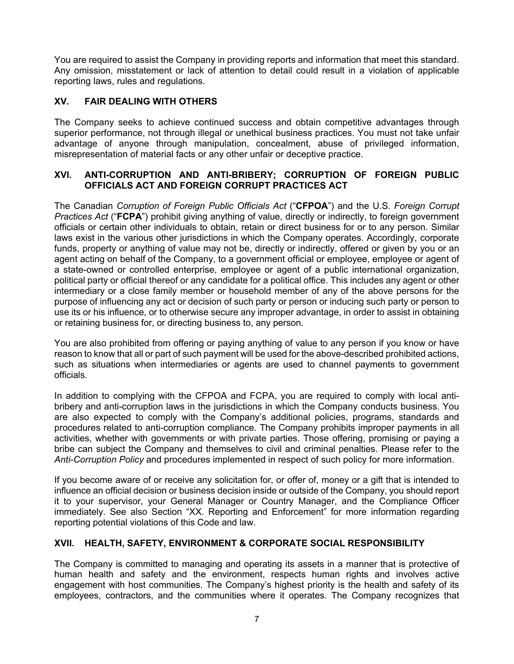You are required to assist the Company in providing reports and information that meet this standard. Any omission, misstatement or lack of attention to detail could result in a violation of applicable reporting laws, rules and regulations.

## **XV. FAIR DEALING WITH OTHERS**

The Company seeks to achieve continued success and obtain competitive advantages through superior performance, not through illegal or unethical business practices. You must not take unfair advantage of anyone through manipulation, concealment, abuse of privileged information, misrepresentation of material facts or any other unfair or deceptive practice.

### **XVI. ANTI-CORRUPTION AND ANTI-BRIBERY; CORRUPTION OF FOREIGN PUBLIC OFFICIALS ACT AND FOREIGN CORRUPT PRACTICES ACT**

The Canadian *Corruption of Foreign Public Officials Act* ("**CFPOA**") and the U.S. *Foreign Corrupt Practices Act* ("**FCPA**") prohibit giving anything of value, directly or indirectly, to foreign government officials or certain other individuals to obtain, retain or direct business for or to any person. Similar laws exist in the various other jurisdictions in which the Company operates. Accordingly, corporate funds, property or anything of value may not be, directly or indirectly, offered or given by you or an agent acting on behalf of the Company, to a government official or employee, employee or agent of a state-owned or controlled enterprise, employee or agent of a public international organization, political party or official thereof or any candidate for a political office. This includes any agent or other intermediary or a close family member or household member of any of the above persons for the purpose of influencing any act or decision of such party or person or inducing such party or person to use its or his influence, or to otherwise secure any improper advantage, in order to assist in obtaining or retaining business for, or directing business to, any person.

You are also prohibited from offering or paying anything of value to any person if you know or have reason to know that all or part of such payment will be used for the above-described prohibited actions, such as situations when intermediaries or agents are used to channel payments to government officials.

In addition to complying with the CFPOA and FCPA, you are required to comply with local antibribery and anti-corruption laws in the jurisdictions in which the Company conducts business. You are also expected to comply with the Company's additional policies, programs, standards and procedures related to anti-corruption compliance. The Company prohibits improper payments in all activities, whether with governments or with private parties. Those offering, promising or paying a bribe can subject the Company and themselves to civil and criminal penalties. Please refer to the *Anti-Corruption Policy* and procedures implemented in respect of such policy for more information.

If you become aware of or receive any solicitation for, or offer of, money or a gift that is intended to influence an official decision or business decision inside or outside of the Company, you should report it to your supervisor, your General Manager or Country Manager, and the Compliance Officer immediately. See also Section "XX. Reporting and Enforcement" for more information regarding reporting potential violations of this Code and law.

## **XVII. HEALTH, SAFETY, ENVIRONMENT & CORPORATE SOCIAL RESPONSIBILITY**

The Company is committed to managing and operating its assets in a manner that is protective of human health and safety and the environment, respects human rights and involves active engagement with host communities. The Company's highest priority is the health and safety of its employees, contractors, and the communities where it operates. The Company recognizes that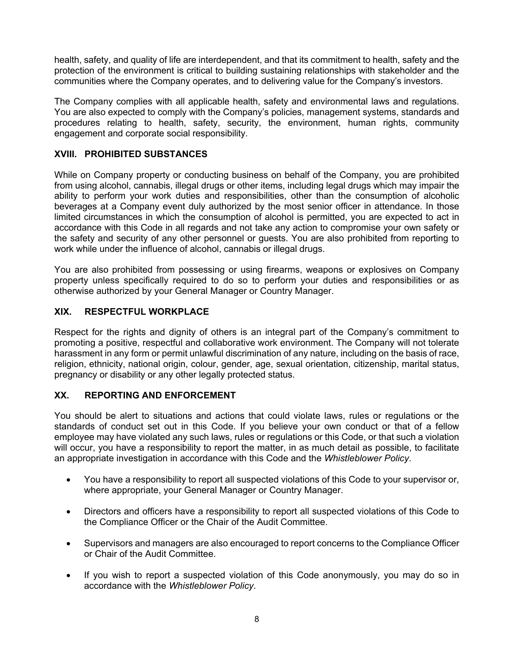health, safety, and quality of life are interdependent, and that its commitment to health, safety and the protection of the environment is critical to building sustaining relationships with stakeholder and the communities where the Company operates, and to delivering value for the Company's investors.

The Company complies with all applicable health, safety and environmental laws and regulations. You are also expected to comply with the Company's policies, management systems, standards and procedures relating to health, safety, security, the environment, human rights, community engagement and corporate social responsibility.

## **XVIII. PROHIBITED SUBSTANCES**

While on Company property or conducting business on behalf of the Company, you are prohibited from using alcohol, cannabis, illegal drugs or other items, including legal drugs which may impair the ability to perform your work duties and responsibilities, other than the consumption of alcoholic beverages at a Company event duly authorized by the most senior officer in attendance. In those limited circumstances in which the consumption of alcohol is permitted, you are expected to act in accordance with this Code in all regards and not take any action to compromise your own safety or the safety and security of any other personnel or guests. You are also prohibited from reporting to work while under the influence of alcohol, cannabis or illegal drugs.

You are also prohibited from possessing or using firearms, weapons or explosives on Company property unless specifically required to do so to perform your duties and responsibilities or as otherwise authorized by your General Manager or Country Manager.

## **XIX. RESPECTFUL WORKPLACE**

Respect for the rights and dignity of others is an integral part of the Company's commitment to promoting a positive, respectful and collaborative work environment. The Company will not tolerate harassment in any form or permit unlawful discrimination of any nature, including on the basis of race, religion, ethnicity, national origin, colour, gender, age, sexual orientation, citizenship, marital status, pregnancy or disability or any other legally protected status.

### **XX. REPORTING AND ENFORCEMENT**

You should be alert to situations and actions that could violate laws, rules or regulations or the standards of conduct set out in this Code. If you believe your own conduct or that of a fellow employee may have violated any such laws, rules or regulations or this Code, or that such a violation will occur, you have a responsibility to report the matter, in as much detail as possible, to facilitate an appropriate investigation in accordance with this Code and the *Whistleblower Policy*.

- You have a responsibility to report all suspected violations of this Code to your supervisor or, where appropriate, your General Manager or Country Manager.
- Directors and officers have a responsibility to report all suspected violations of this Code to the Compliance Officer or the Chair of the Audit Committee.
- Supervisors and managers are also encouraged to report concerns to the Compliance Officer or Chair of the Audit Committee.
- If you wish to report a suspected violation of this Code anonymously, you may do so in accordance with the *Whistleblower Policy*.